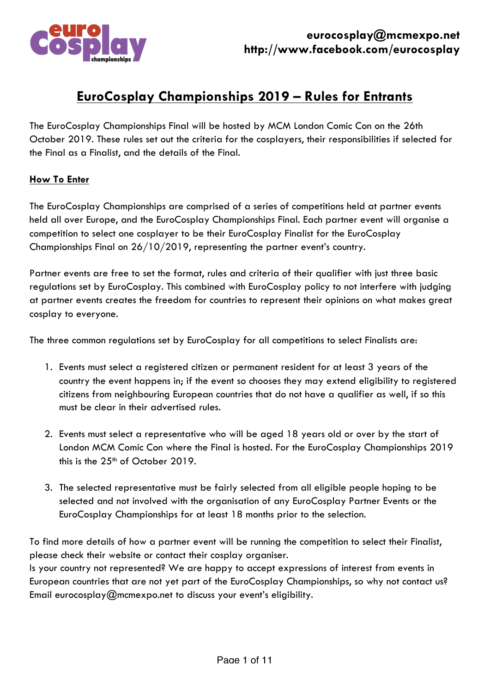

# **EuroCosplay Championships 2019 – Rules for Entrants**

The EuroCosplay Championships Final will be hosted by MCM London Comic Con on the 26th October 2019. These rules set out the criteria for the cosplayers, their responsibilities if selected for the Final as a Finalist, and the details of the Final.

#### **How To Enter**

The EuroCosplay Championships are comprised of a series of competitions held at partner events held all over Europe, and the EuroCosplay Championships Final. Each partner event will organise a competition to select one cosplayer to be their EuroCosplay Finalist for the EuroCosplay Championships Final on 26/10/2019, representing the partner event's country.

Partner events are free to set the format, rules and criteria of their qualifier with just three basic regulations set by EuroCosplay. This combined with EuroCosplay policy to not interfere with judging at partner events creates the freedom for countries to represent their opinions on what makes great cosplay to everyone.

The three common regulations set by EuroCosplay for all competitions to select Finalists are:

- 1. Events must select a registered citizen or permanent resident for at least 3 years of the country the event happens in; if the event so chooses they may extend eligibility to registered citizens from neighbouring European countries that do not have a qualifier as well, if so this must be clear in their advertised rules.
- 2. Events must select a representative who will be aged 18 years old or over by the start of London MCM Comic Con where the Final is hosted. For the EuroCosplay Championships 2019 this is the 25<sup>th</sup> of October 2019.
- 3. The selected representative must be fairly selected from all eligible people hoping to be selected and not involved with the organisation of any EuroCosplay Partner Events or the EuroCosplay Championships for at least 18 months prior to the selection.

To find more details of how a partner event will be running the competition to select their Finalist, please check their website or contact their cosplay organiser.

Is your country not represented? We are happy to accept expressions of interest from events in European countries that are not yet part of the EuroCosplay Championships, so why not contact us? Email eurocosplay@mcmexpo.net to discuss your event's eligibility.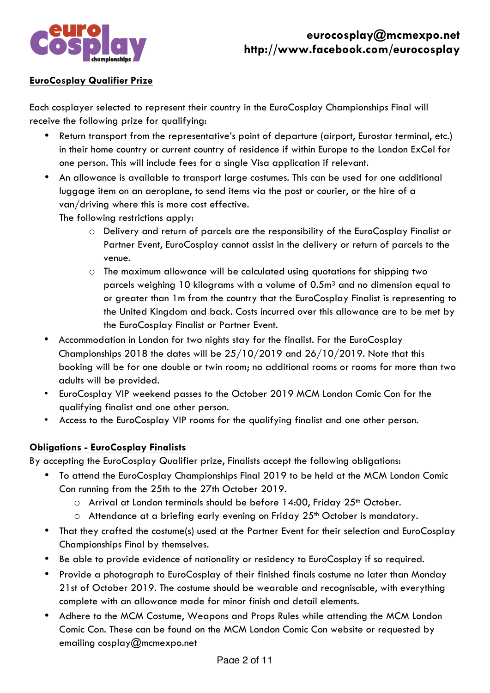

### **EuroCosplay Qualifier Prize**

Each cosplayer selected to represent their country in the EuroCosplay Championships Final will receive the following prize for qualifying:

- Return transport from the representative's point of departure (airport, Eurostar terminal, etc.) in their home country or current country of residence if within Europe to the London ExCel for one person. This will include fees for a single Visa application if relevant.
- An allowance is available to transport large costumes. This can be used for one additional luggage item on an aeroplane, to send items via the post or courier, or the hire of a van/driving where this is more cost effective.

The following restrictions apply:

- o Delivery and return of parcels are the responsibility of the EuroCosplay Finalist or Partner Event, EuroCosplay cannot assist in the delivery or return of parcels to the venue.
- o The maximum allowance will be calculated using quotations for shipping two parcels weighing 10 kilograms with a volume of  $0.5<sup>m3</sup>$  and no dimension equal to or greater than 1m from the country that the EuroCosplay Finalist is representing to the United Kingdom and back. Costs incurred over this allowance are to be met by the EuroCosplay Finalist or Partner Event.
- Accommodation in London for two nights stay for the finalist. For the EuroCosplay Championships 2018 the dates will be 25/10/2019 and 26/10/2019. Note that this booking will be for one double or twin room; no additional rooms or rooms for more than two adults will be provided.
- EuroCosplay VIP weekend passes to the October 2019 MCM London Comic Con for the qualifying finalist and one other person.
- Access to the EuroCosplay VIP rooms for the qualifying finalist and one other person.

#### **Obligations - EuroCosplay Finalists**

By accepting the EuroCosplay Qualifier prize, Finalists accept the following obligations:

- To attend the EuroCosplay Championships Final 2019 to be held at the MCM London Comic Con running from the 25th to the 27th October 2019.
	- o Arrival at London terminals should be before 14:00, Friday 25<sup>th</sup> October.
	- $\circ$  Attendance at a briefing early evening on Friday 25<sup>th</sup> October is mandatory.
- That they crafted the costume(s) used at the Partner Event for their selection and EuroCosplay Championships Final by themselves.
- Be able to provide evidence of nationality or residency to EuroCosplay if so required.
- Provide a photograph to EuroCosplay of their finished finals costume no later than Monday 21st of October 2019. The costume should be wearable and recognisable, with everything complete with an allowance made for minor finish and detail elements.
- Adhere to the MCM Costume, Weapons and Props Rules while attending the MCM London Comic Con. These can be found on the MCM London Comic Con website or requested by emailing cosplay@mcmexpo.net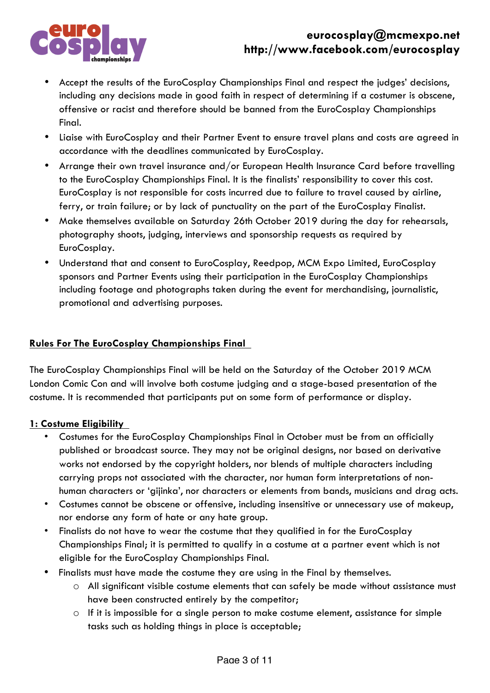

## **eurocosplay@mcmexpo.net http://www.facebook.com/eurocosplay**

- Accept the results of the EuroCosplay Championships Final and respect the judges' decisions, including any decisions made in good faith in respect of determining if a costumer is obscene, offensive or racist and therefore should be banned from the EuroCosplay Championships Final.
- Liaise with EuroCosplay and their Partner Event to ensure travel plans and costs are agreed in accordance with the deadlines communicated by EuroCosplay.
- Arrange their own travel insurance and/or European Health Insurance Card before travelling to the EuroCosplay Championships Final. It is the finalists' responsibility to cover this cost. EuroCosplay is not responsible for costs incurred due to failure to travel caused by airline, ferry, or train failure; or by lack of punctuality on the part of the EuroCosplay Finalist.
- Make themselves available on Saturday 26th October 2019 during the day for rehearsals, photography shoots, judging, interviews and sponsorship requests as required by EuroCosplay.
- Understand that and consent to EuroCosplay, Reedpop, MCM Expo Limited, EuroCosplay sponsors and Partner Events using their participation in the EuroCosplay Championships including footage and photographs taken during the event for merchandising, journalistic, promotional and advertising purposes.

### **Rules For The EuroCosplay Championships Final**

The EuroCosplay Championships Final will be held on the Saturday of the October 2019 MCM London Comic Con and will involve both costume judging and a stage-based presentation of the costume. It is recommended that participants put on some form of performance or display.

#### **1: Costume Eligibility**

- Costumes for the EuroCosplay Championships Final in October must be from an officially published or broadcast source. They may not be original designs, nor based on derivative works not endorsed by the copyright holders, nor blends of multiple characters including carrying props not associated with the character, nor human form interpretations of nonhuman characters or 'gijinka', nor characters or elements from bands, musicians and drag acts.
- Costumes cannot be obscene or offensive, including insensitive or unnecessary use of makeup, nor endorse any form of hate or any hate group.
- Finalists do not have to wear the costume that they qualified in for the EuroCosplay Championships Final; it is permitted to qualify in a costume at a partner event which is not eligible for the EuroCosplay Championships Final.
- Finalists must have made the costume they are using in the Final by themselves.
	- o All significant visible costume elements that can safely be made without assistance must have been constructed entirely by the competitor;
	- $\circ$  If it is impossible for a single person to make costume element, assistance for simple tasks such as holding things in place is acceptable;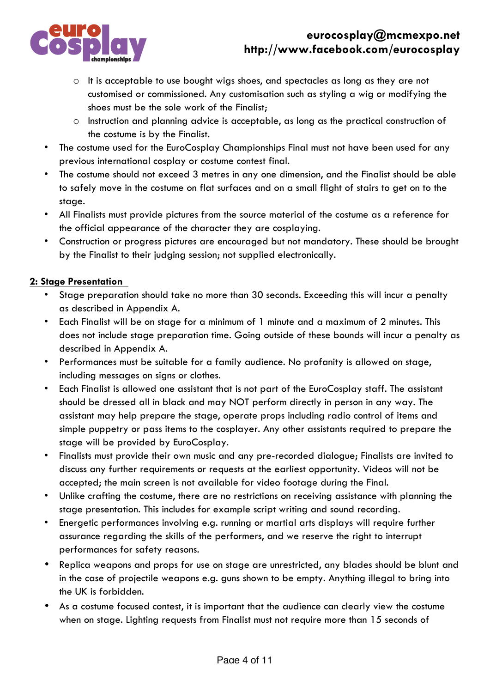

## **eurocosplay@mcmexpo.net http://www.facebook.com/eurocosplay**

- $\circ$  It is acceptable to use bought wigs shoes, and spectacles as long as they are not customised or commissioned. Any customisation such as styling a wig or modifying the shoes must be the sole work of the Finalist;
- o Instruction and planning advice is acceptable, as long as the practical construction of the costume is by the Finalist.
- The costume used for the EuroCosplay Championships Final must not have been used for any previous international cosplay or costume contest final.
- The costume should not exceed 3 metres in any one dimension, and the Finalist should be able to safely move in the costume on flat surfaces and on a small flight of stairs to get on to the stage.
- All Finalists must provide pictures from the source material of the costume as a reference for the official appearance of the character they are cosplaying.
- Construction or progress pictures are encouraged but not mandatory. These should be brought by the Finalist to their judging session; not supplied electronically.

## **2: Stage Presentation**

- Stage preparation should take no more than 30 seconds. Exceeding this will incur a penalty as described in Appendix A.
- Each Finalist will be on stage for a minimum of 1 minute and a maximum of 2 minutes. This does not include stage preparation time. Going outside of these bounds will incur a penalty as described in Appendix A.
- Performances must be suitable for a family audience. No profanity is allowed on stage, including messages on signs or clothes.
- Each Finalist is allowed one assistant that is not part of the EuroCosplay staff. The assistant should be dressed all in black and may NOT perform directly in person in any way. The assistant may help prepare the stage, operate props including radio control of items and simple puppetry or pass items to the cosplayer. Any other assistants required to prepare the stage will be provided by EuroCosplay.
- Finalists must provide their own music and any pre-recorded dialogue; Finalists are invited to discuss any further requirements or requests at the earliest opportunity. Videos will not be accepted; the main screen is not available for video footage during the Final.
- Unlike crafting the costume, there are no restrictions on receiving assistance with planning the stage presentation. This includes for example script writing and sound recording.
- Energetic performances involving e.g. running or martial arts displays will require further assurance regarding the skills of the performers, and we reserve the right to interrupt performances for safety reasons.
- Replica weapons and props for use on stage are unrestricted, any blades should be blunt and in the case of projectile weapons e.g. guns shown to be empty. Anything illegal to bring into the UK is forbidden.
- As a costume focused contest, it is important that the audience can clearly view the costume when on stage. Lighting requests from Finalist must not require more than 15 seconds of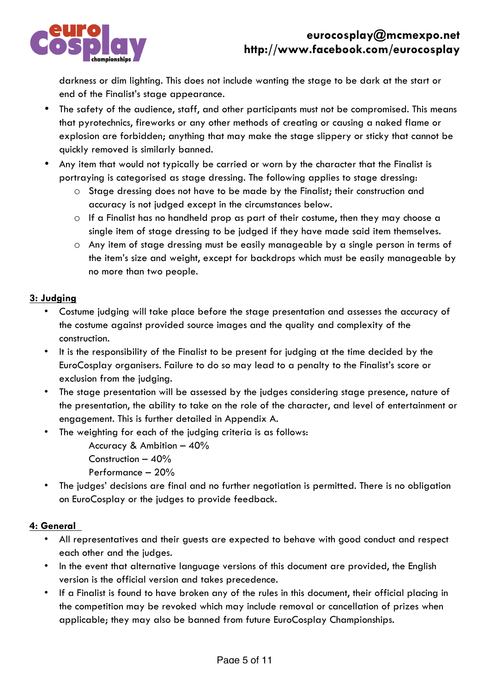

darkness or dim lighting. This does not include wanting the stage to be dark at the start or end of the Finalist's stage appearance.

- The safety of the audience, staff, and other participants must not be compromised. This means that pyrotechnics, fireworks or any other methods of creating or causing a naked flame or explosion are forbidden; anything that may make the stage slippery or sticky that cannot be quickly removed is similarly banned.
- Any item that would not typically be carried or worn by the character that the Finalist is portraying is categorised as stage dressing. The following applies to stage dressing:
	- o Stage dressing does not have to be made by the Finalist; their construction and accuracy is not judged except in the circumstances below.
	- o If a Finalist has no handheld prop as part of their costume, then they may choose a single item of stage dressing to be judged if they have made said item themselves.
	- o Any item of stage dressing must be easily manageable by a single person in terms of the item's size and weight, except for backdrops which must be easily manageable by no more than two people.

## **3: Judging**

- Costume judging will take place before the stage presentation and assesses the accuracy of the costume against provided source images and the quality and complexity of the construction.
- It is the responsibility of the Finalist to be present for judging at the time decided by the EuroCosplay organisers. Failure to do so may lead to a penalty to the Finalist's score or exclusion from the judging.
- The stage presentation will be assessed by the judges considering stage presence, nature of the presentation, the ability to take on the role of the character, and level of entertainment or engagement. This is further detailed in Appendix A.
- The weighting for each of the judging criteria is as follows:
	- Accuracy & Ambition 40%
	- Construction 40%
	- Performance 20%
- The judges' decisions are final and no further negotiation is permitted. There is no obligation on EuroCosplay or the judges to provide feedback.

## **4: General**

- All representatives and their guests are expected to behave with good conduct and respect each other and the judges.
- In the event that alternative language versions of this document are provided, the English version is the official version and takes precedence.
- If a Finalist is found to have broken any of the rules in this document, their official placing in the competition may be revoked which may include removal or cancellation of prizes when applicable; they may also be banned from future EuroCosplay Championships.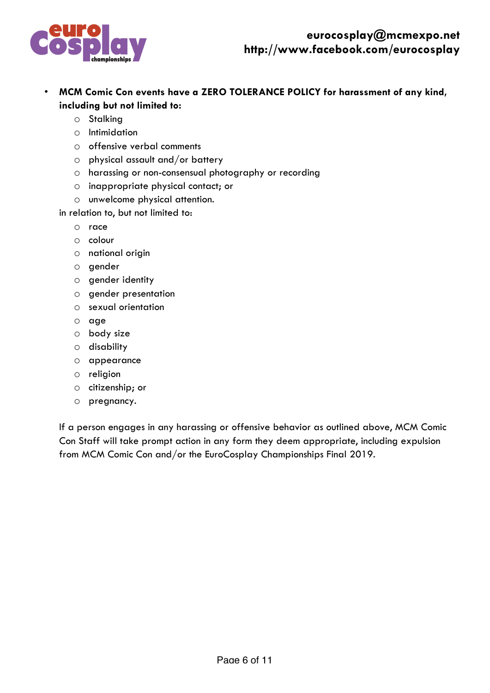

- **MCM Comic Con events have a ZERO TOLERANCE POLICY for harassment of any kind, including but not limited to:**
	- o Stalking
	- o Intimidation
	- o offensive verbal comments
	- o physical assault and/or battery
	- o harassing or non-consensual photography or recording
	- o inappropriate physical contact; or
	- o unwelcome physical attention.
	- in relation to, but not limited to:
		- o race
		- o colour
		- o national origin
		- o gender
		- o gender identity
		- o gender presentation
		- o sexual orientation
		- o age
		- o body size
		- o disability
		- o appearance
		- o religion
		- o citizenship; or
		- o pregnancy.

If a person engages in any harassing or offensive behavior as outlined above, MCM Comic Con Staff will take prompt action in any form they deem appropriate, including expulsion from MCM Comic Con and/or the EuroCosplay Championships Final 2019.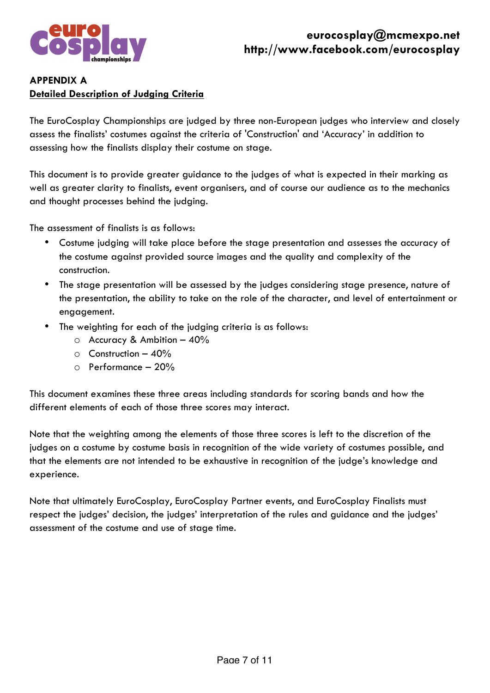

## **APPENDIX A Detailed Description of Judging Criteria**

The EuroCosplay Championships are judged by three non-European judges who interview and closely assess the finalists' costumes against the criteria of 'Construction' and 'Accuracy' in addition to assessing how the finalists display their costume on stage.

This document is to provide greater guidance to the judges of what is expected in their marking as well as greater clarity to finalists, event organisers, and of course our audience as to the mechanics and thought processes behind the judging.

The assessment of finalists is as follows:

- Costume judging will take place before the stage presentation and assesses the accuracy of the costume against provided source images and the quality and complexity of the construction.
- The stage presentation will be assessed by the judges considering stage presence, nature of the presentation, the ability to take on the role of the character, and level of entertainment or engagement.
- The weighting for each of the judging criteria is as follows:
	- o Accuracy & Ambition 40%
	- $\circ$  Construction 40%
	- $\circ$  Performance 20%

This document examines these three areas including standards for scoring bands and how the different elements of each of those three scores may interact.

Note that the weighting among the elements of those three scores is left to the discretion of the judges on a costume by costume basis in recognition of the wide variety of costumes possible, and that the elements are not intended to be exhaustive in recognition of the judge's knowledge and experience.

Note that ultimately EuroCosplay, EuroCosplay Partner events, and EuroCosplay Finalists must respect the judges' decision, the judges' interpretation of the rules and guidance and the judges' assessment of the costume and use of stage time.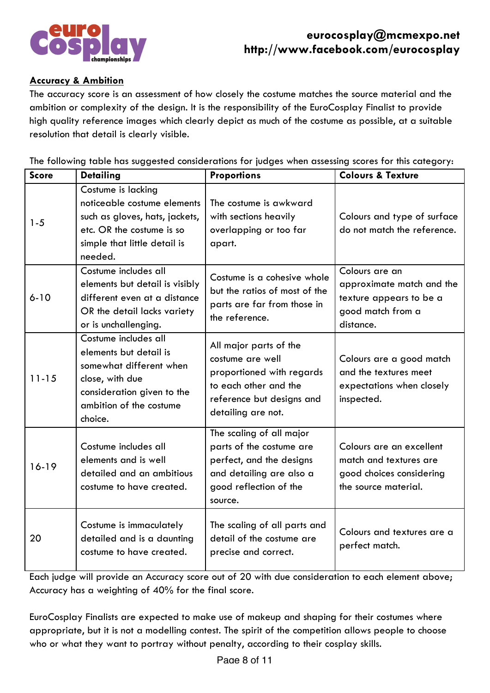

### **Accuracy & Ambition**

The accuracy score is an assessment of how closely the costume matches the source material and the ambition or complexity of the design. It is the responsibility of the EuroCosplay Finalist to provide high quality reference images which clearly depict as much of the costume as possible, at a suitable resolution that detail is clearly visible.

The following table has suggested considerations for judges when assessing scores for this category:

| <b>Score</b> | <b>Detailing</b>                                                                                                                                                 | <b>Proportions</b>                                                                                                                                  | <b>Colours &amp; Texture</b>                                                                             |
|--------------|------------------------------------------------------------------------------------------------------------------------------------------------------------------|-----------------------------------------------------------------------------------------------------------------------------------------------------|----------------------------------------------------------------------------------------------------------|
| $1 - 5$      | Costume is lacking<br>noticeable costume elements<br>such as gloves, hats, jackets,<br>etc. OR the costume is so<br>simple that little detail is<br>needed.      | The costume is awkward<br>with sections heavily<br>overlapping or too far<br>apart.                                                                 | Colours and type of surface<br>do not match the reference.                                               |
| $6 - 10$     | Costume includes all<br>elements but detail is visibly<br>different even at a distance<br>OR the detail lacks variety<br>or is unchallenging.                    | Costume is a cohesive whole<br>but the ratios of most of the<br>parts are far from those in<br>the reference.                                       | Colours are an<br>approximate match and the<br>texture appears to be a<br>good match from a<br>distance. |
| $11 - 15$    | Costume includes all<br>elements but detail is<br>somewhat different when<br>close, with due<br>consideration given to the<br>ambition of the costume<br>choice. | All major parts of the<br>costume are well<br>proportioned with regards<br>to each other and the<br>reference but designs and<br>detailing are not. | Colours are a good match<br>and the textures meet<br>expectations when closely<br>inspected.             |
| $16-19$      | Costume includes all<br>elements and is well<br>detailed and an ambitious<br>costume to have created.                                                            | The scaling of all major<br>parts of the costume are<br>perfect, and the designs<br>and detailing are also a<br>good reflection of the<br>source.   | Colours are an excellent<br>match and textures are<br>good choices considering<br>the source material.   |
| 20           | Costume is immaculately<br>detailed and is a daunting<br>costume to have created.                                                                                | The scaling of all parts and<br>detail of the costume are<br>precise and correct.                                                                   | Colours and textures are a<br>perfect match.                                                             |

Each judge will provide an Accuracy score out of 20 with due consideration to each element above; Accuracy has a weighting of 40% for the final score.

EuroCosplay Finalists are expected to make use of makeup and shaping for their costumes where appropriate, but it is not a modelling contest. The spirit of the competition allows people to choose who or what they want to portray without penalty, according to their cosplay skills.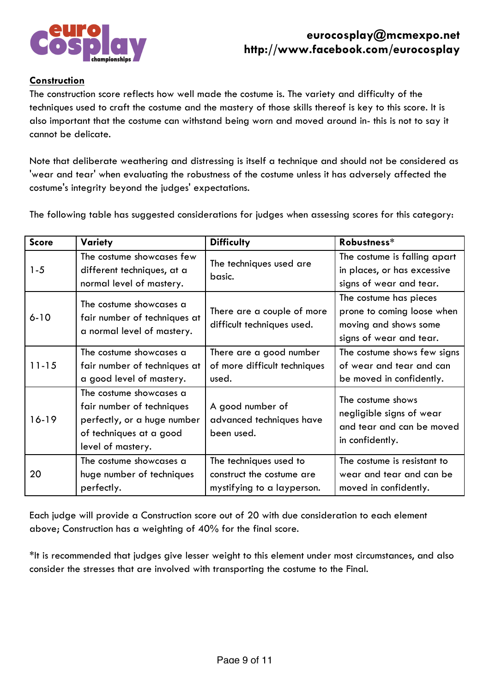

#### **Construction**

The construction score reflects how well made the costume is. The variety and difficulty of the techniques used to craft the costume and the mastery of those skills thereof is key to this score. It is also important that the costume can withstand being worn and moved around in- this is not to say it cannot be delicate.

Note that deliberate weathering and distressing is itself a technique and should not be considered as 'wear and tear' when evaluating the robustness of the costume unless it has adversely affected the costume's integrity beyond the judges' expectations.

The following table has suggested considerations for judges when assessing scores for this category:

| <b>Score</b> | Variety                                                                                                                             | <b>Difficulty</b>                                                                 | Robustness*                                                                                              |
|--------------|-------------------------------------------------------------------------------------------------------------------------------------|-----------------------------------------------------------------------------------|----------------------------------------------------------------------------------------------------------|
| $1 - 5$      | The costume showcases few<br>different techniques, at a<br>normal level of mastery.                                                 | The techniques used are<br>basic.                                                 | The costume is falling apart<br>in places, or has excessive<br>signs of wear and tear.                   |
| $6 - 10$     | The costume showcases a<br>fair number of techniques at<br>a normal level of mastery.                                               | There are a couple of more<br>difficult techniques used.                          | The costume has pieces<br>prone to coming loose when<br>moving and shows some<br>signs of wear and tear. |
| $11 - 15$    | The costume showcases a<br>fair number of techniques at<br>a good level of mastery.                                                 | There are a good number<br>of more difficult techniques<br>used.                  | The costume shows few signs<br>of wear and tear and can<br>be moved in confidently.                      |
| $16-19$      | The costume showcases a<br>fair number of techniques<br>perfectly, or a huge number<br>of techniques at a good<br>level of mastery. | A good number of<br>advanced techniques have<br>been used.                        | The costume shows<br>negligible signs of wear<br>and tear and can be moved<br>in confidently.            |
| 20           | The costume showcases a<br>huge number of techniques<br>perfectly.                                                                  | The techniques used to<br>construct the costume are<br>mystifying to a layperson. | The costume is resistant to<br>wear and tear and can be<br>moved in confidently.                         |

Each judge will provide a Construction score out of 20 with due consideration to each element above; Construction has a weighting of 40% for the final score.

\*It is recommended that judges give lesser weight to this element under most circumstances, and also consider the stresses that are involved with transporting the costume to the Final.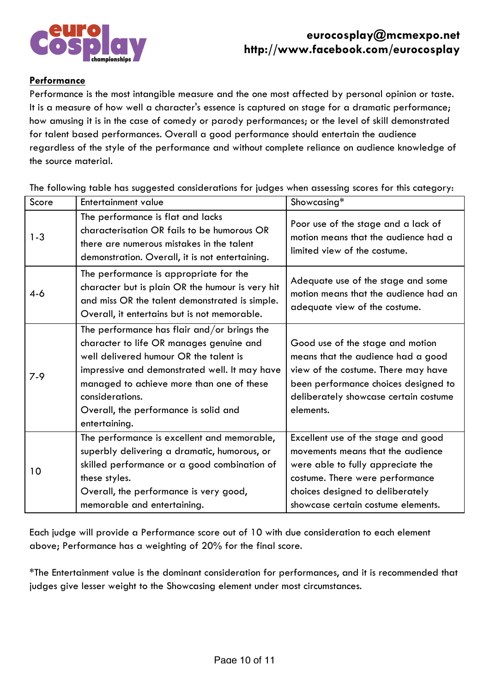

#### **Performance**

Performance is the most intangible measure and the one most affected by personal opinion or taste. It is a measure of how well a character's essence is captured on stage for a dramatic performance; how amusing it is in the case of comedy or parody performances; or the level of skill demonstrated for talent based performances. Overall a good performance should entertain the audience regardless of the style of the performance and without complete reliance on audience knowledge of the source material.

The following table has suggested considerations for judges when assessing scores for this category:

| Score   | <b>Entertainment value</b>                                                                                                                                                                                                                                                                                   | Showcasing*                                                                                                                                                                                                                |
|---------|--------------------------------------------------------------------------------------------------------------------------------------------------------------------------------------------------------------------------------------------------------------------------------------------------------------|----------------------------------------------------------------------------------------------------------------------------------------------------------------------------------------------------------------------------|
| $1 - 3$ | The performance is flat and lacks<br>characterisation OR fails to be humorous OR<br>there are numerous mistakes in the talent<br>demonstration. Overall, it is not entertaining.                                                                                                                             | Poor use of the stage and a lack of<br>motion means that the audience had a<br>limited view of the costume.                                                                                                                |
| $4 - 6$ | The performance is appropriate for the<br>character but is plain OR the humour is very hit<br>and miss OR the talent demonstrated is simple.<br>Overall, it entertains but is not memorable.                                                                                                                 | Adequate use of the stage and some<br>motion means that the audience had an<br>adequate view of the costume.                                                                                                               |
| $7 - 9$ | The performance has flair and/or brings the<br>character to life OR manages genuine and<br>well delivered humour OR the talent is<br>impressive and demonstrated well. It may have<br>managed to achieve more than one of these<br>considerations.<br>Overall, the performance is solid and<br>entertaining. | Good use of the stage and motion<br>means that the audience had a good<br>view of the costume. There may have<br>been performance choices designed to<br>deliberately showcase certain costume<br>elements.                |
| 10      | The performance is excellent and memorable,<br>superbly delivering a dramatic, humorous, or<br>skilled performance or a good combination of<br>these styles.<br>Overall, the performance is very good,<br>memorable and entertaining.                                                                        | Excellent use of the stage and good<br>movements means that the audience<br>were able to fully appreciate the<br>costume. There were performance<br>choices designed to deliberately<br>showcase certain costume elements. |

Each judge will provide a Performance score out of 10 with due consideration to each element above; Performance has a weighting of 20% for the final score.

\*The Entertainment value is the dominant consideration for performances, and it is recommended that judges give lesser weight to the Showcasing element under most circumstances.